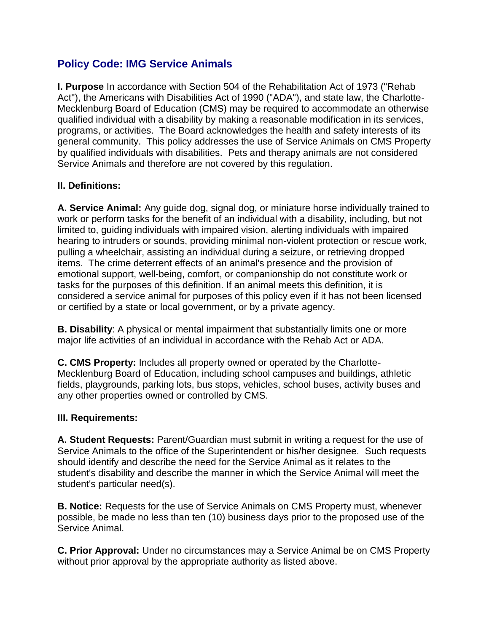# **Policy Code: IMG Service Animals**

**I. Purpose** In accordance with Section 504 of the Rehabilitation Act of 1973 ("Rehab Act"), the Americans with Disabilities Act of 1990 ("ADA"), and state law, the Charlotte-Mecklenburg Board of Education (CMS) may be required to accommodate an otherwise qualified individual with a disability by making a reasonable modification in its services, programs, or activities. The Board acknowledges the health and safety interests of its general community. This policy addresses the use of Service Animals on CMS Property by qualified individuals with disabilities. Pets and therapy animals are not considered Service Animals and therefore are not covered by this regulation.

# **II. Definitions:**

**A. Service Animal:** Any guide dog, signal dog, or miniature horse individually trained to work or perform tasks for the benefit of an individual with a disability, including, but not limited to, guiding individuals with impaired vision, alerting individuals with impaired hearing to intruders or sounds, providing minimal non-violent protection or rescue work, pulling a wheelchair, assisting an individual during a seizure, or retrieving dropped items. The crime deterrent effects of an animal's presence and the provision of emotional support, well-being, comfort, or companionship do not constitute work or tasks for the purposes of this definition. If an animal meets this definition, it is considered a service animal for purposes of this policy even if it has not been licensed or certified by a state or local government, or by a private agency.

**B. Disability**: A physical or mental impairment that substantially limits one or more major life activities of an individual in accordance with the Rehab Act or ADA.

**C. CMS Property:** Includes all property owned or operated by the Charlotte-Mecklenburg Board of Education, including school campuses and buildings, athletic fields, playgrounds, parking lots, bus stops, vehicles, school buses, activity buses and any other properties owned or controlled by CMS.

### **III. Requirements:**

**A. Student Requests:** Parent/Guardian must submit in writing a request for the use of Service Animals to the office of the Superintendent or his/her designee. Such requests should identify and describe the need for the Service Animal as it relates to the student's disability and describe the manner in which the Service Animal will meet the student's particular need(s).

**B. Notice:** Requests for the use of Service Animals on CMS Property must, whenever possible, be made no less than ten (10) business days prior to the proposed use of the Service Animal.

**C. Prior Approval:** Under no circumstances may a Service Animal be on CMS Property without prior approval by the appropriate authority as listed above.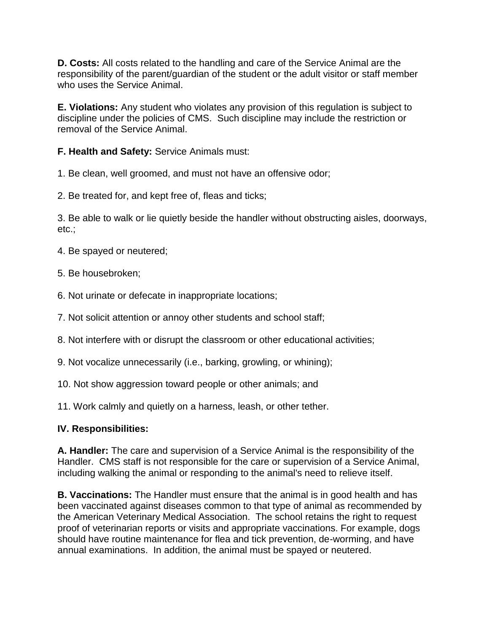**D. Costs:** All costs related to the handling and care of the Service Animal are the responsibility of the parent/guardian of the student or the adult visitor or staff member who uses the Service Animal.

**E. Violations:** Any student who violates any provision of this regulation is subject to discipline under the policies of CMS. Such discipline may include the restriction or removal of the Service Animal.

**F. Health and Safety:** Service Animals must:

1. Be clean, well groomed, and must not have an offensive odor;

2. Be treated for, and kept free of, fleas and ticks;

3. Be able to walk or lie quietly beside the handler without obstructing aisles, doorways, etc.;

- 4. Be spayed or neutered;
- 5. Be housebroken;
- 6. Not urinate or defecate in inappropriate locations;
- 7. Not solicit attention or annoy other students and school staff;
- 8. Not interfere with or disrupt the classroom or other educational activities;
- 9. Not vocalize unnecessarily (i.e., barking, growling, or whining);
- 10. Not show aggression toward people or other animals; and

11. Work calmly and quietly on a harness, leash, or other tether.

### **IV. Responsibilities:**

**A. Handler:** The care and supervision of a Service Animal is the responsibility of the Handler. CMS staff is not responsible for the care or supervision of a Service Animal, including walking the animal or responding to the animal's need to relieve itself.

**B. Vaccinations:** The Handler must ensure that the animal is in good health and has been vaccinated against diseases common to that type of animal as recommended by the American Veterinary Medical Association. The school retains the right to request proof of veterinarian reports or visits and appropriate vaccinations. For example, dogs should have routine maintenance for flea and tick prevention, de-worming, and have annual examinations. In addition, the animal must be spayed or neutered.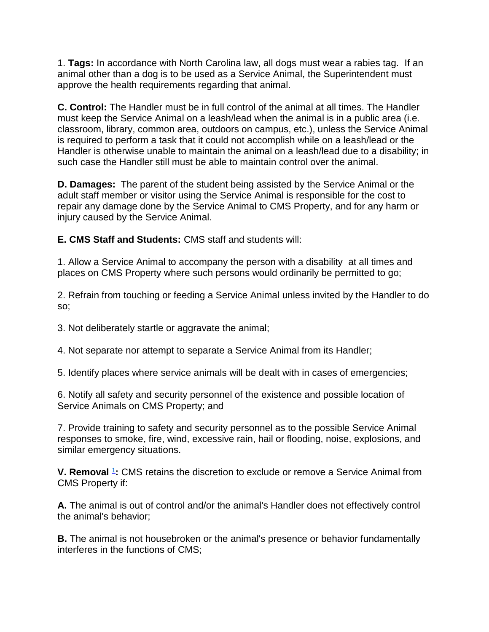1. **Tags:** In accordance with North Carolina law, all dogs must wear a rabies tag. If an animal other than a dog is to be used as a Service Animal, the Superintendent must approve the health requirements regarding that animal.

**C. Control:** The Handler must be in full control of the animal at all times. The Handler must keep the Service Animal on a leash/lead when the animal is in a public area (i.e. classroom, library, common area, outdoors on campus, etc.), unless the Service Animal is required to perform a task that it could not accomplish while on a leash/lead or the Handler is otherwise unable to maintain the animal on a leash/lead due to a disability; in such case the Handler still must be able to maintain control over the animal.

**D. Damages:** The parent of the student being assisted by the Service Animal or the adult staff member or visitor using the Service Animal is responsible for the cost to repair any damage done by the Service Animal to CMS Property, and for any harm or injury caused by the Service Animal.

**E. CMS Staff and Students:** CMS staff and students will:

1. Allow a Service Animal to accompany the person with a disability at all times and places on CMS Property where such persons would ordinarily be permitted to go;

2. Refrain from touching or feeding a Service Animal unless invited by the Handler to do so;

3. Not deliberately startle or aggravate the animal;

4. Not separate nor attempt to separate a Service Animal from its Handler;

5. Identify places where service animals will be dealt with in cases of emergencies;

6. Notify all safety and security personnel of the existence and possible location of Service Animals on CMS Property; and

7. Provide training to safety and security personnel as to the possible Service Animal responses to smoke, fire, wind, excessive rain, hail or flooding, noise, explosions, and similar emergency situations.

**V. Removal** <sup>1</sup>: CMS retains the discretion to exclude or remove a Service Animal from CMS Property if:

**A.** The animal is out of control and/or the animal's Handler does not effectively control the animal's behavior;

**B.** The animal is not housebroken or the animal's presence or behavior fundamentally interferes in the functions of CMS;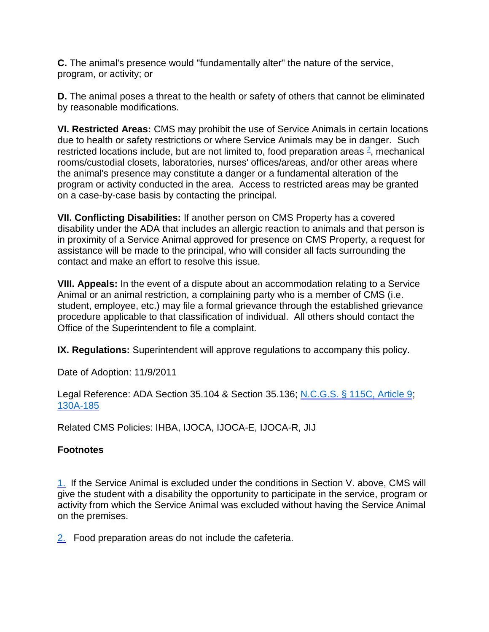**C.** The animal's presence would "fundamentally alter" the nature of the service, program, or activity; or

**D.** The animal poses a threat to the health or safety of others that cannot be eliminated by reasonable modifications.

**VI. Restricted Areas:** CMS may prohibit the use of Service Animals in certain locations due to health or safety restrictions or where Service Animals may be in danger. Such restricted locations include, but are not limited to, food preparation areas  $2$ , mechanical rooms/custodial closets, laboratories, nurses' offices/areas, and/or other areas where the animal's presence may constitute a danger or a fundamental alteration of the program or activity conducted in the area. Access to restricted areas may be granted on a case-by-case basis by contacting the principal.

**VII. Conflicting Disabilities:** If another person on CMS Property has a covered disability under the ADA that includes an allergic reaction to animals and that person is in proximity of a Service Animal approved for presence on CMS Property, a request for assistance will be made to the principal, who will consider all facts surrounding the contact and make an effort to resolve this issue.

**VIII. Appeals:** In the event of a dispute about an accommodation relating to a Service Animal or an animal restriction, a complaining party who is a member of CMS (i.e. student, employee, etc.) may file a formal grievance through the established grievance procedure applicable to that classification of individual. All others should contact the Office of the Superintendent to file a complaint.

**IX. Regulations:** Superintendent will approve regulations to accompany this policy.

Date of Adoption: 11/9/2011

Legal Reference: ADA Section 35.104 & Section 35.136; [N.C.G.S. § 115C, Article 9;](http://redirector.microscribepub.com/?cat=stat&loc=nc&id=115c&spec=a9) [130A-185](http://redirector.microscribepub.com/?cat=stat&loc=nc&id=130a&spec=185)

Related CMS Policies: IHBA, IJOCA, IJOCA-E, IJOCA-R, JIJ

# **Footnotes**

1. If the Service Animal is excluded under the conditions in Section V. above, CMS will give the student with a disability the opportunity to participate in the service, program or activity from which the Service Animal was excluded without having the Service Animal on the premises.

2. Food preparation areas do not include the cafeteria.